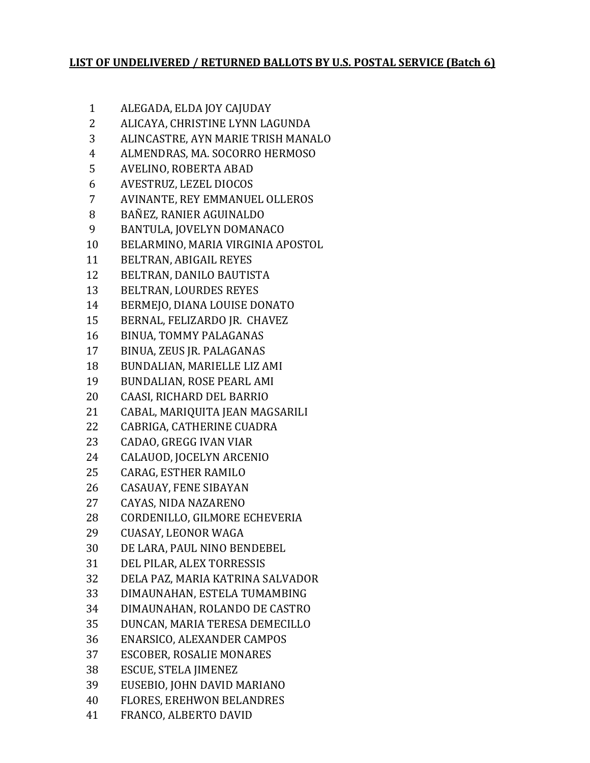## **LIST OF UNDELIVERED / RETURNED BALLOTS BY U.S. POSTAL SERVICE (Batch 6)**

- ALEGADA, ELDA JOY CAJUDAY
- ALICAYA, CHRISTINE LYNN LAGUNDA
- ALINCASTRE, AYN MARIE TRISH MANALO
- ALMENDRAS, MA. SOCORRO HERMOSO
- AVELINO, ROBERTA ABAD
- AVESTRUZ, LEZEL DIOCOS
- AVINANTE, REY EMMANUEL OLLEROS
- BAÑEZ, RANIER AGUINALDO
- BANTULA, JOVELYN DOMANACO
- BELARMINO, MARIA VIRGINIA APOSTOL
- BELTRAN, ABIGAIL REYES
- BELTRAN, DANILO BAUTISTA
- BELTRAN, LOURDES REYES
- BERMEJO, DIANA LOUISE DONATO
- BERNAL, FELIZARDO JR. CHAVEZ
- BINUA, TOMMY PALAGANAS
- BINUA, ZEUS JR. PALAGANAS
- BUNDALIAN, MARIELLE LIZ AMI
- BUNDALIAN, ROSE PEARL AMI
- CAASI, RICHARD DEL BARRIO
- CABAL, MARIQUITA JEAN MAGSARILI
- CABRIGA, CATHERINE CUADRA
- CADAO, GREGG IVAN VIAR
- CALAUOD, JOCELYN ARCENIO
- CARAG, ESTHER RAMILO
- CASAUAY, FENE SIBAYAN
- CAYAS, NIDA NAZARENO
- CORDENILLO, GILMORE ECHEVERIA
- CUASAY, LEONOR WAGA
- DE LARA, PAUL NINO BENDEBEL
- DEL PILAR, ALEX TORRESSIS
- DELA PAZ, MARIA KATRINA SALVADOR
- DIMAUNAHAN, ESTELA TUMAMBING
- DIMAUNAHAN, ROLANDO DE CASTRO
- DUNCAN, MARIA TERESA DEMECILLO
- ENARSICO, ALEXANDER CAMPOS
- ESCOBER, ROSALIE MONARES
- ESCUE, STELA JIMENEZ
- EUSEBIO, JOHN DAVID MARIANO
- FLORES, EREHWON BELANDRES
- FRANCO, ALBERTO DAVID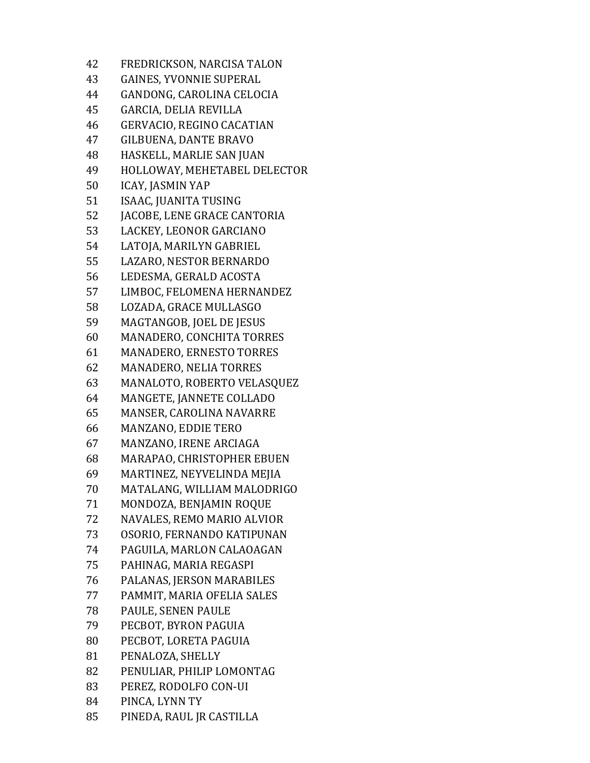FREDRICKSON, NARCISA TALON GAINES, YVONNIE SUPERAL GANDONG, CAROLINA CELOCIA GARCIA, DELIA REVILLA GERVACIO, REGINO CACATIAN GILBUENA, DANTE BRAVO HASKELL, MARLIE SAN JUAN HOLLOWAY, MEHETABEL DELECTOR ICAY, JASMIN YAP ISAAC, JUANITA TUSING JACOBE, LENE GRACE CANTORIA LACKEY, LEONOR GARCIANO LATOJA, MARILYN GABRIEL LAZARO, NESTOR BERNARDO LEDESMA, GERALD ACOSTA LIMBOC, FELOMENA HERNANDEZ LOZADA, GRACE MULLASGO MAGTANGOB, JOEL DE JESUS MANADERO, CONCHITA TORRES MANADERO, ERNESTO TORRES MANADERO, NELIA TORRES MANALOTO, ROBERTO VELASQUEZ MANGETE, JANNETE COLLADO MANSER, CAROLINA NAVARRE MANZANO, EDDIE TERO MANZANO, IRENE ARCIAGA MARAPAO, CHRISTOPHER EBUEN MARTINEZ, NEYVELINDA MEJIA MATALANG, WILLIAM MALODRIGO MONDOZA, BENJAMIN ROQUE NAVALES, REMO MARIO ALVIOR OSORIO, FERNANDO KATIPUNAN PAGUILA, MARLON CALAOAGAN PAHINAG, MARIA REGASPI PALANAS, JERSON MARABILES PAMMIT, MARIA OFELIA SALES PAULE, SENEN PAULE PECBOT, BYRON PAGUIA PECBOT, LORETA PAGUIA PENALOZA, SHELLY PENULIAR, PHILIP LOMONTAG PEREZ, RODOLFO CON-UI PINCA, LYNN TY PINEDA, RAUL JR CASTILLA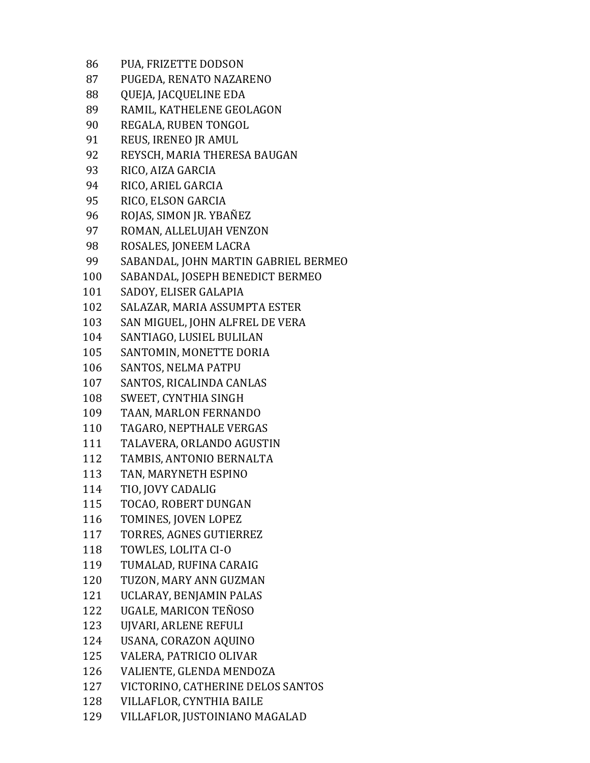| 86  | PUA, FRIZETTE DODSON                 |
|-----|--------------------------------------|
| 87  | PUGEDA, RENATO NAZARENO              |
| 88  | QUEJA, JACQUELINE EDA                |
| 89  | RAMIL, KATHELENE GEOLAGON            |
| 90  | REGALA, RUBEN TONGOL                 |
| 91  | REUS, IRENEO JR AMUL                 |
| 92  | REYSCH, MARIA THERESA BAUGAN         |
| 93  | RICO, AIZA GARCIA                    |
| 94  | RICO, ARIEL GARCIA                   |
| 95  | RICO, ELSON GARCIA                   |
| 96  | ROJAS, SIMON JR. YBAÑEZ              |
| 97  | ROMAN, ALLELUJAH VENZON              |
| 98  | ROSALES, JONEEM LACRA                |
| 99  | SABANDAL, JOHN MARTIN GABRIEL BERMEO |
| 100 | SABANDAL, JOSEPH BENEDICT BERMEO     |
| 101 | SADOY, ELISER GALAPIA                |
| 102 | SALAZAR, MARIA ASSUMPTA ESTER        |
| 103 | SAN MIGUEL, JOHN ALFREL DE VERA      |
| 104 | SANTIAGO, LUSIEL BULILAN             |
| 105 | SANTOMIN, MONETTE DORIA              |
| 106 | SANTOS, NELMA PATPU                  |
| 107 | SANTOS, RICALINDA CANLAS             |
| 108 | SWEET, CYNTHIA SINGH                 |
| 109 | TAAN, MARLON FERNANDO                |
| 110 | TAGARO, NEPTHALE VERGAS              |
| 111 | TALAVERA, ORLANDO AGUSTIN            |
| 112 | TAMBIS, ANTONIO BERNALTA             |
| 113 | TAN, MARYNETH ESPINO                 |
| 114 | TIO, JOVY CADALIG                    |
| 115 | TOCAO, ROBERT DUNGAN                 |
| 116 | TOMINES, JOVEN LOPEZ                 |
| 117 | TORRES, AGNES GUTIERREZ              |
| 118 | TOWLES, LOLITA CI-O                  |
| 119 | TUMALAD, RUFINA CARAIG               |
| 120 | TUZON, MARY ANN GUZMAN               |
| 121 | UCLARAY, BENJAMIN PALAS              |
| 122 | UGALE, MARICON TEÑOSO                |
| 123 | UJVARI, ARLENE REFULI                |
| 124 | USANA, CORAZON AQUINO                |
| 125 | VALERA, PATRICIO OLIVAR              |
| 126 | VALIENTE, GLENDA MENDOZA             |
| 127 | VICTORINO, CATHERINE DELOS SANTOS    |
| 128 | VILLAFLOR, CYNTHIA BAILE             |
| 129 | VILLAFLOR, JUSTOINIANO MAGALAD       |